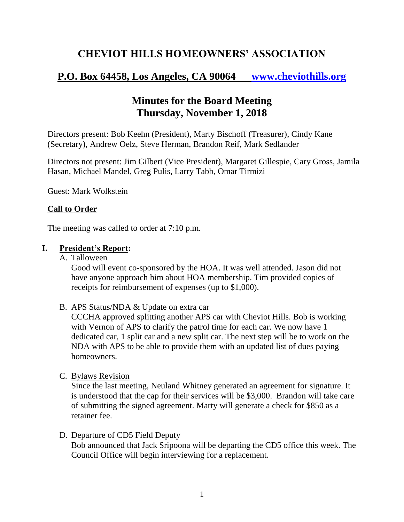# **CHEVIOT HILLS HOMEOWNERS' ASSOCIATION**

# **P.O. Box 64458, Los Angeles, CA 90064 [www.cheviothills.org](http://www.cheviothills.org/)**

# **Minutes for the Board Meeting Thursday, November 1, 2018**

Directors present: Bob Keehn (President), Marty Bischoff (Treasurer), Cindy Kane (Secretary), Andrew Oelz, Steve Herman, Brandon Reif, Mark Sedlander

Directors not present: Jim Gilbert (Vice President), Margaret Gillespie, Cary Gross, Jamila Hasan, Michael Mandel, Greg Pulis, Larry Tabb, Omar Tirmizi

Guest: Mark Wolkstein

#### **Call to Order**

The meeting was called to order at 7:10 p.m.

#### **I. President's Report:**

A. Talloween

Good will event co-sponsored by the HOA. It was well attended. Jason did not have anyone approach him about HOA membership. Tim provided copies of receipts for reimbursement of expenses (up to \$1,000).

B. APS Status/NDA & Update on extra car

CCCHA approved splitting another APS car with Cheviot Hills. Bob is working with Vernon of APS to clarify the patrol time for each car. We now have 1 dedicated car, 1 split car and a new split car. The next step will be to work on the NDA with APS to be able to provide them with an updated list of dues paying homeowners.

C. Bylaws Revision

Since the last meeting, Neuland Whitney generated an agreement for signature. It is understood that the cap for their services will be \$3,000. Brandon will take care of submitting the signed agreement. Marty will generate a check for \$850 as a retainer fee.

D. Departure of CD5 Field Deputy

Bob announced that Jack Sripoona will be departing the CD5 office this week. The Council Office will begin interviewing for a replacement.